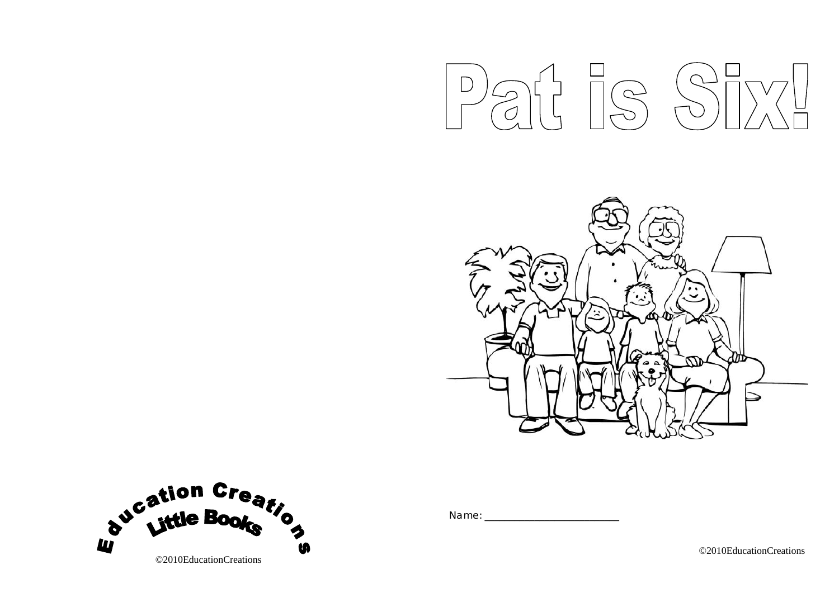





Name: \_\_\_\_\_\_\_\_\_\_\_\_\_\_\_\_\_\_\_\_\_\_\_\_\_\_\_

©2010EducationCreations